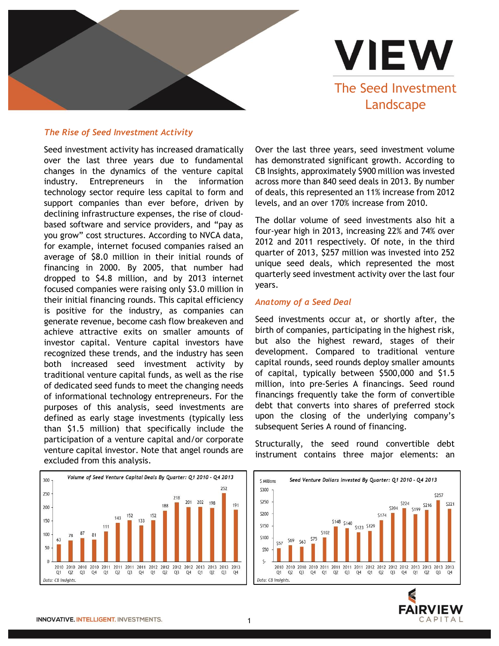

**VIEW** The Seed Investment Landscape

## *The Rise of Seed Investment Activity*

Seed investment activity has increased dramatically over the last three years due to fundamental changes in the dynamics of the venture capital industry. Entrepreneurs in the information technology sector require less capital to form and support companies than ever before, driven by declining infrastructure expenses, the rise of cloudbased software and service providers, and "pay as you grow" cost structures. According to NVCA data, for example, internet focused companies raised an average of \$8.0 million in their initial rounds of financing in 2000. By 2005, that number had dropped to \$4.8 million, and by 2013 internet focused companies were raising only \$3.0 million in their initial financing rounds. This capital efficiency is positive for the industry, as companies can generate revenue, become cash flow breakeven and achieve attractive exits on smaller amounts of investor capital. Venture capital investors have recognized these trends, and the industry has seen both increased seed investment activity by traditional venture capital funds, as well as the rise of dedicated seed funds to meet the changing needs of informational technology entrepreneurs. For the purposes of this analysis, seed investments are defined as early stage investments (typically less than \$1.5 million) that specifically include the participation of a venture capital and/or corporate venture capital investor. Note that angel rounds are excluded from this analysis.



Over the last three years, seed investment volume has demonstrated significant growth. According to CB Insights, approximately \$900 million was invested across more than 840 seed deals in 2013. By number of deals, this represented an 11% increase from 2012 levels, and an over 170% increase from 2010.

The dollar volume of seed investments also hit a four-year high in 2013, increasing 22% and 74% over 2012 and 2011 respectively. Of note, in the third quarter of 2013, \$257 million was invested into 252 unique seed deals, which represented the most quarterly seed investment activity over the last four years.

## *Anatomy of a Seed Deal*

Seed investments occur at, or shortly after, the birth of companies, participating in the highest risk, but also the highest reward, stages of their development. Compared to traditional venture capital rounds, seed rounds deploy smaller amounts of capital, typically between \$500,000 and \$1.5 million, into pre-Series A financings. Seed round financings frequently take the form of convertible debt that converts into shares of preferred stock upon the closing of the underlying company's subsequent Series A round of financing.

Structurally, the seed round convertible debt instrument contains three major elements: an



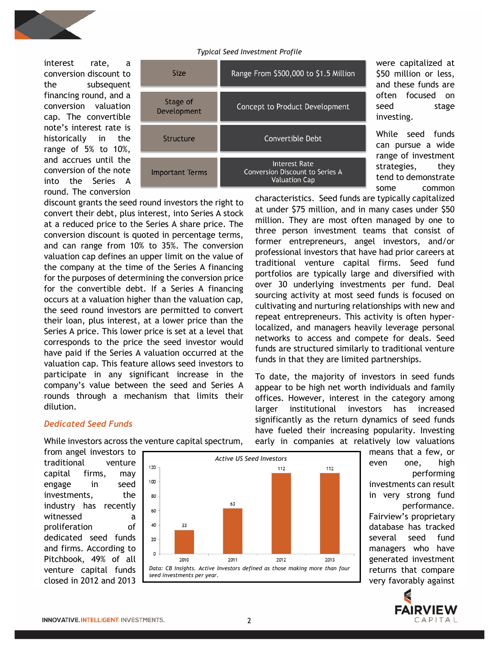

*Typical Seed Investment Profile*

interest rate, a conversion discount to the subsequent financing round, and a conversion valuation cap. The convertible note's interest rate is historically in the range of 5% to 10%, and accrues until the conversion of the note into the Series A round. The conversion

| Size                    | Range From \$500,000 to \$1.5 Million                                           |
|-------------------------|---------------------------------------------------------------------------------|
| Stage of<br>Development | Concept to Product Development                                                  |
| Structure               | Convertible Debt                                                                |
| <b>Important Terms</b>  | <b>Interest Rate</b><br>Conversion Discount to Series A<br><b>Valuation Cap</b> |
|                         |                                                                                 |

discount grants the seed round investors the right to convert their debt, plus interest, into Series A stock at a reduced price to the Series A share price. The conversion discount is quoted in percentage terms, and can range from 10% to 35%. The conversion valuation cap defines an upper limit on the value of the company at the time of the Series A financing for the purposes of determining the conversion price for the convertible debt. If a Series A financing occurs at a valuation higher than the valuation cap, the seed round investors are permitted to convert their loan, plus interest, at a lower price than the Series A price. This lower price is set at a level that corresponds to the price the seed investor would have paid if the Series A valuation occurred at the valuation cap. This feature allows seed investors to participate in any significant increase in the company's value between the seed and Series A rounds through a mechanism that limits their dilution.

While investors across the venture capital spectrum,

were capitalized at \$50 million or less, and these funds are often focused on seed stage investing.

While seed funds can pursue a wide range of investment strategies, they tend to demonstrate some common

characteristics. Seed funds are typically capitalized at under \$75 million, and in many cases under \$50 million. They are most often managed by one to three person investment teams that consist of former entrepreneurs, angel investors, and/or professional investors that have had prior careers at traditional venture capital firms. Seed fund portfolios are typically large and diversified with over 30 underlying investments per fund. Deal sourcing activity at most seed funds is focused on cultivating and nurturing relationships with new and repeat entrepreneurs. This activity is often hyperlocalized, and managers heavily leverage personal networks to access and compete for deals. Seed funds are structured similarly to traditional venture funds in that they are limited partnerships.

To date, the majority of investors in seed funds appear to be high net worth individuals and family offices. However, interest in the category among larger institutional investors has increased significantly as the return dynamics of seed funds have fueled their increasing popularity. Investing early in companies at relatively low valuations

from angel investors to traditional venture capital firms, may engage in seed investments, the industry has recently witnessed a proliferation of dedicated seed funds and firms. According to Pitchbook, 49% of all venture capital funds closed in 2012 and 2013

*Dedicated Seed Funds* 



means that a few, or even one, high performing investments can result in very strong fund performance. Fairview's proprietary database has tracked several seed fund managers who have generated investment returns that compare very favorably against

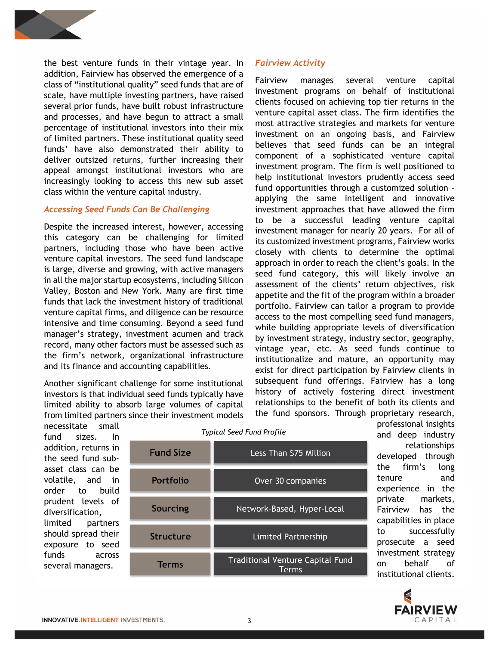

the best venture funds in their vintage year. In addition, Fairview has observed the emergence of a class of "institutional quality" seed funds that are of scale, have multiple investing partners, have raised several prior funds, have built robust infrastructure and processes, and have begun to attract a small percentage of institutional investors into their mix of limited partners. These institutional quality seed funds' have also demonstrated their ability to deliver outsized returns, further increasing their appeal amongst institutional investors who are increasingly looking to access this new sub asset class within the venture capital industry.

## *Accessing Seed Funds Can Be Challenging*

Despite the increased interest, however, accessing this category can be challenging for limited partners, including those who have been active venture capital investors. The seed fund landscape is large, diverse and growing, with active managers in all the major startup ecosystems, including Silicon Valley, Boston and New York. Many are first time funds that lack the investment history of traditional venture capital firms, and diligence can be resource intensive and time consuming. Beyond a seed fund manager's strategy, investment acumen and track record, many other factors must be assessed such as the firm's network, organizational infrastructure and its finance and accounting capabilities.

Another significant challenge for some institutional investors is that individual seed funds typically have limited ability to absorb large volumes of capital from limited partners since their investment models *Fairview Activity* 

Fairview manages several venture capital investment programs on behalf of institutional clients focused on achieving top tier returns in the venture capital asset class. The firm identifies the most attractive strategies and markets for venture investment on an ongoing basis, and Fairview believes that seed funds can be an integral component of a sophisticated venture capital investment program. The firm is well positioned to help institutional investors prudently access seed fund opportunities through a customized solution – applying the same intelligent and innovative investment approaches that have allowed the firm to be a successful leading venture capital investment manager for nearly 20 years. For all of its customized investment programs, Fairview works closely with clients to determine the optimal approach in order to reach the client's goals. In the seed fund category, this will likely involve an assessment of the clients' return objectives, risk appetite and the fit of the program within a broader portfolio. Fairview can tailor a program to provide access to the most compelling seed fund managers, while building appropriate levels of diversification by investment strategy, industry sector, geography, vintage year, etc. As seed funds continue to institutionalize and mature, an opportunity may exist for direct participation by Fairview clients in subsequent fund offerings. Fairview has a long history of actively fostering direct investment relationships to the benefit of both its clients and the fund sponsors. Through proprietary research,

necessitate small fund sizes. In addition, returns in the seed fund subasset class can be volatile, and in order to build prudent levels of diversification, limited partners should spread their exposure to seed funds across several managers.

| <b>Fund Size</b> | Less Than \$75 Million                           |
|------------------|--------------------------------------------------|
| Portfolio        | Over 30 companies                                |
| <b>Sourcing</b>  | Network-Based, Hyper-Local                       |
| Structure        | <b>Limited Partnership</b>                       |
| Terms            | <b>Traditional Venture Capital Fund</b><br>Terms |

*Typical Seed Fund Profile*

professional insights and deep industry relationships developed through the firm's long tenure and experience in the private markets, Fairview has the capabilities in place to successfully prosecute a seed investment strategy on behalf of institutional clients.